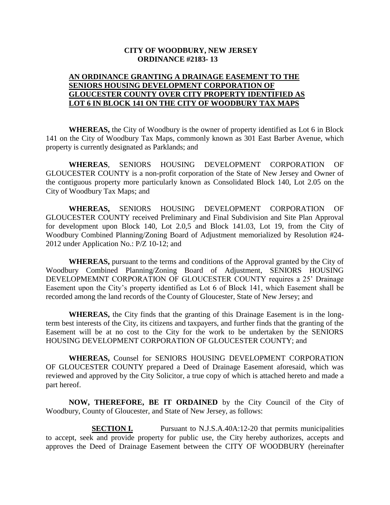## **CITY OF WOODBURY, NEW JERSEY ORDINANCE #2183- 13**

## **AN ORDINANCE GRANTING A DRAINAGE EASEMENT TO THE SENIORS HOUSING DEVELOPMENT CORPORATION OF GLOUCESTER COUNTY OVER CITY PROPERTY IDENTIFIED AS LOT 6 IN BLOCK 141 ON THE CITY OF WOODBURY TAX MAPS**

**WHEREAS,** the City of Woodbury is the owner of property identified as Lot 6 in Block 141 on the City of Woodbury Tax Maps, commonly known as 301 East Barber Avenue, which property is currently designated as Parklands; and

**WHEREAS**, SENIORS HOUSING DEVELOPMENT CORPORATION OF GLOUCESTER COUNTY is a non-profit corporation of the State of New Jersey and Owner of the contiguous property more particularly known as Consolidated Block 140, Lot 2.05 on the City of Woodbury Tax Maps; and

**WHEREAS,** SENIORS HOUSING DEVELOPMENT CORPORATION OF GLOUCESTER COUNTY received Preliminary and Final Subdivision and Site Plan Approval for development upon Block 140, Lot 2.0,5 and Block 141.03, Lot 19, from the City of Woodbury Combined Planning/Zoning Board of Adjustment memorialized by Resolution #24- 2012 under Application No.: P/Z 10-12; and

**WHEREAS,** pursuant to the terms and conditions of the Approval granted by the City of Woodbury Combined Planning/Zoning Board of Adjustment, SENIORS HOUSING DEVELOPMEMNT CORPORATION OF GLOUCESTER COUNTY requires a 25' Drainage Easement upon the City's property identified as Lot 6 of Block 141, which Easement shall be recorded among the land records of the County of Gloucester, State of New Jersey; and

**WHEREAS,** the City finds that the granting of this Drainage Easement is in the longterm best interests of the City, its citizens and taxpayers, and further finds that the granting of the Easement will be at no cost to the City for the work to be undertaken by the SENIORS HOUSING DEVELOPMENT CORPORATION OF GLOUCESTER COUNTY; and

**WHEREAS,** Counsel for SENIORS HOUSING DEVELOPMENT CORPORATION OF GLOUCESTER COUNTY prepared a Deed of Drainage Easement aforesaid, which was reviewed and approved by the City Solicitor, a true copy of which is attached hereto and made a part hereof.

**NOW, THEREFORE, BE IT ORDAINED** by the City Council of the City of Woodbury, County of Gloucester, and State of New Jersey, as follows:

**SECTION I.** Pursuant to N.J.S.A.40A:12-20 that permits municipalities to accept, seek and provide property for public use, the City hereby authorizes, accepts and approves the Deed of Drainage Easement between the CITY OF WOODBURY (hereinafter